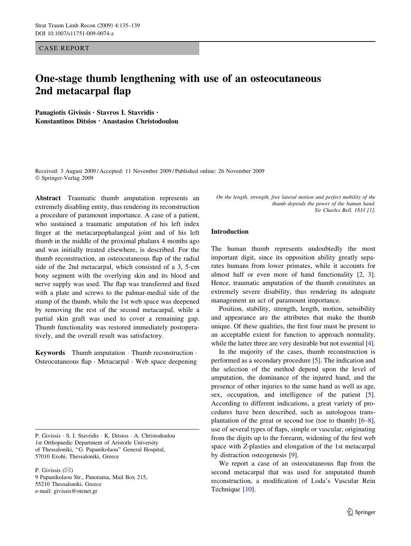CASE REPORT

# One-stage thumb lengthening with use of an osteocutaneous 2nd metacarpal flap

Panagiotis Givissis • Stavros I. Stavridis • Konstantinos Ditsios • Anastasios Christodoulou

Received: 3 August 2009 / Accepted: 11 November 2009 / Published online: 26 November 2009 Springer-Verlag 2009

Abstract Traumatic thumb amputation represents an extremely disabling entity, thus rendering its reconstruction a procedure of paramount importance. A case of a patient, who sustained a traumatic amputation of his left index finger at the metacarpophalangeal joint and of his left thumb in the middle of the proximal phalanx 4 months ago and was initially treated elsewhere, is described. For the thumb reconstruction, an osteocutaneous flap of the radial side of the 2nd metacarpal, which consisted of a 3, 5-cm bony segment with the overlying skin and its blood and nerve supply was used. The flap was transferred and fixed with a plate and screws to the palmar-medial side of the stump of the thumb, while the 1st web space was deepened by removing the rest of the second metacarpal, while a partial skin graft was used to cover a remaining gap. Thumb functionality was restored immediately postoperatively, and the overall result was satisfactory.

Keywords Thumb amputation  $\cdot$  Thumb reconstruction  $\cdot$ Osteocutaneous flap · Metacarpal · Web space deepening

P. Givissis · S. I. Stavridis · K. Ditsios · A. Christodoulou 1st Orthopaedic Department of Aristotle University of Thessaloniki, ''G. Papanikolaou'' General Hospital, 57010 Exohi, Thessaloniki, Greece

P. Givissis  $(\boxtimes)$ 

9 Papanikolaou Str., Panorama, Mail Box 215, 55210 Thessaloniki, Greece e-mail: givissis@otenet.gr

On the length, strength, free lateral motion and perfect mobility of the thumb depends the power of the human hand. Sir Charles Bell, 1833 [\[1](#page-4-0)].

## Introduction

The human thumb represents undoubtedly the most important digit, since its opposition ability greatly separates humans from lower primates, while it accounts for almost half or even more of hand functionality [[2,](#page-4-0) [3](#page-4-0)]. Hence, traumatic amputation of the thumb constitutes an extremely severe disability, thus rendering its adequate management an act of paramount importance.

Position, stability, strength, length, motion, sensibility and appearance are the attributes that make the thumb unique. Of these qualities, the first four must be present to an acceptable extent for function to approach normality, while the latter three are very desirable but not essential [\[4](#page-4-0)].

In the majority of the cases, thumb reconstruction is performed as a secondary procedure [\[5](#page-4-0)]. The indication and the selection of the method depend upon the level of amputation, the dominance of the injured hand, and the presence of other injuries to the same hand as well as age, sex, occupation, and intelligence of the patient [\[5](#page-4-0)]. According to different indications, a great variety of procedures have been described, such as autologous transplantation of the great or second toe (toe to thumb)  $[6-8]$ , use of several types of flaps, simple or vascular, originating from the digits up to the forearm, widening of the first web space with Z-plasties and elongation of the 1st metacarpal by distraction osteogenesis [\[9](#page-4-0)].

We report a case of an osteocutaneous flap from the second metacarpal that was used for amputated thumb reconstruction, a modification of Loda's Vascular Rein Technique [\[10](#page-4-0)].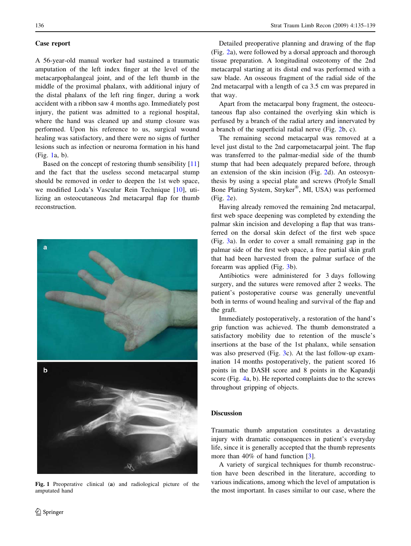#### Case report

A 56-year-old manual worker had sustained a traumatic amputation of the left index finger at the level of the metacarpophalangeal joint, and of the left thumb in the middle of the proximal phalanx, with additional injury of the distal phalanx of the left ring finger, during a work accident with a ribbon saw 4 months ago. Immediately post injury, the patient was admitted to a regional hospital, where the hand was cleaned up and stump closure was performed. Upon his reference to us, surgical wound healing was satisfactory, and there were no signs of further lesions such as infection or neuroma formation in his hand (Fig. 1a, b).

Based on the concept of restoring thumb sensibility [[11\]](#page-4-0) and the fact that the useless second metacarpal stump should be removed in order to deepen the 1st web space, we modified Loda's Vascular Rein Technique [[10\]](#page-4-0), utilizing an osteocutaneous 2nd metacarpal flap for thumb reconstruction.



Fig. 1 Preoperative clinical (a) and radiological picture of the amputated hand

Detailed preoperative planning and drawing of the flap (Fig. [2a](#page-2-0)), were followed by a dorsal approach and thorough tissue preparation. A longitudinal osteotomy of the 2nd metacarpal starting at its distal end was performed with a saw blade. An osseous fragment of the radial side of the 2nd metacarpal with a length of ca 3.5 cm was prepared in that way.

Apart from the metacarpal bony fragment, the osteocutaneous flap also contained the overlying skin which is perfused by a branch of the radial artery and innervated by a branch of the superficial radial nerve (Fig. [2b](#page-2-0), c).

The remaining second metacarpal was removed at a level just distal to the 2nd carpometacarpal joint. The flap was transferred to the palmar-medial side of the thumb stump that had been adequately prepared before, through an extension of the skin incision (Fig. [2d](#page-2-0)). An osteosynthesis by using a special plate and screws (Profyle Small Bone Plating System, Stryker®, MI, USA) was performed (Fig. [2e](#page-2-0)).

Having already removed the remaining 2nd metacarpal, first web space deepening was completed by extending the palmar skin incision and developing a flap that was transferred on the dorsal skin defect of the first web space (Fig. [3a](#page-3-0)). In order to cover a small remaining gap in the palmar side of the first web space, a free partial skin graft that had been harvested from the palmar surface of the forearm was applied (Fig. [3](#page-3-0)b).

Antibiotics were administered for 3 days following surgery, and the sutures were removed after 2 weeks. The patient's postoperative course was generally uneventful both in terms of wound healing and survival of the flap and the graft.

Immediately postoperatively, a restoration of the hand's grip function was achieved. The thumb demonstrated a satisfactory mobility due to retention of the muscle's insertions at the base of the 1st phalanx, while sensation was also preserved (Fig. [3](#page-3-0)c). At the last follow-up examination 14 months postoperatively, the patient scored 16 points in the DASH score and 8 points in the Kapandji score (Fig. [4a](#page-4-0), b). He reported complaints due to the screws throughout gripping of objects.

### **Discussion**

Traumatic thumb amputation constitutes a devastating injury with dramatic consequences in patient's everyday life, since it is generally accepted that the thumb represents more than 40% of hand function [[3\]](#page-4-0).

A variety of surgical techniques for thumb reconstruction have been described in the literature, according to various indications, among which the level of amputation is the most important. In cases similar to our case, where the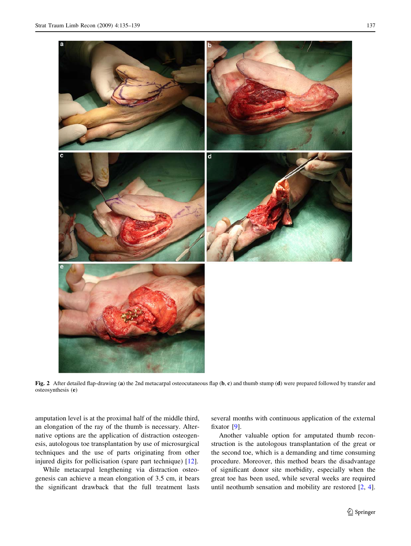<span id="page-2-0"></span>

Fig. 2 After detailed flap-drawing (a) the 2nd metacarpal osteocutaneous flap (b, c) and thumb stump (d) were prepared followed by transfer and osteosynthesis (e)

amputation level is at the proximal half of the middle third, an elongation of the ray of the thumb is necessary. Alternative options are the application of distraction osteogenesis, autologous toe transplantation by use of microsurgical techniques and the use of parts originating from other injured digits for pollicisation (spare part technique) [[12\]](#page-4-0).

While metacarpal lengthening via distraction osteogenesis can achieve a mean elongation of 3.5 cm, it bears the significant drawback that the full treatment lasts several months with continuous application of the external fixator [[9\]](#page-4-0).

Another valuable option for amputated thumb reconstruction is the autologous transplantation of the great or the second toe, which is a demanding and time consuming procedure. Moreover, this method bears the disadvantage of significant donor site morbidity, especially when the great toe has been used, while several weeks are required until neothumb sensation and mobility are restored [\[2](#page-4-0), [4](#page-4-0)].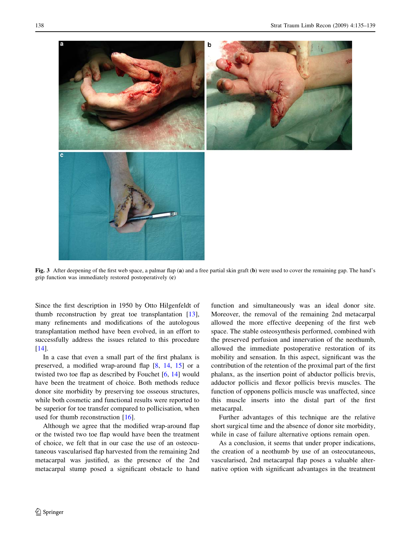<span id="page-3-0"></span>

Fig. 3 After deepening of the first web space, a palmar flap (a) and a free partial skin graft (b) were used to cover the remaining gap. The hand's grip function was immediately restored postoperatively (c)

Since the first description in 1950 by Otto Hilgenfeldt of thumb reconstruction by great toe transplantation [\[13](#page-4-0)], many refinements and modifications of the autologous transplantation method have been evolved, in an effort to successfully address the issues related to this procedure [\[14](#page-4-0)].

In a case that even a small part of the first phalanx is preserved, a modified wrap-around flap [[8,](#page-4-0) [14,](#page-4-0) [15\]](#page-4-0) or a twisted two toe flap as described by Fouchet [[6,](#page-4-0) [14\]](#page-4-0) would have been the treatment of choice. Both methods reduce donor site morbidity by preserving toe osseous structures, while both cosmetic and functional results were reported to be superior for toe transfer compared to pollicisation, when used for thumb reconstruction [\[16](#page-4-0)].

Although we agree that the modified wrap-around flap or the twisted two toe flap would have been the treatment of choice, we felt that in our case the use of an osteocutaneous vascularised flap harvested from the remaining 2nd metacarpal was justified, as the presence of the 2nd metacarpal stump posed a significant obstacle to hand function and simultaneously was an ideal donor site. Moreover, the removal of the remaining 2nd metacarpal allowed the more effective deepening of the first web space. The stable osteosynthesis performed, combined with the preserved perfusion and innervation of the neothumb, allowed the immediate postoperative restoration of its mobility and sensation. In this aspect, significant was the contribution of the retention of the proximal part of the first phalanx, as the insertion point of abductor pollicis brevis, adductor pollicis and flexor pollicis brevis muscles. The function of opponens pollicis muscle was unaffected, since this muscle inserts into the distal part of the first metacarpal.

Further advantages of this technique are the relative short surgical time and the absence of donor site morbidity, while in case of failure alternative options remain open.

As a conclusion, it seems that under proper indications, the creation of a neothumb by use of an osteocutaneous, vascularised, 2nd metacarpal flap poses a valuable alternative option with significant advantages in the treatment